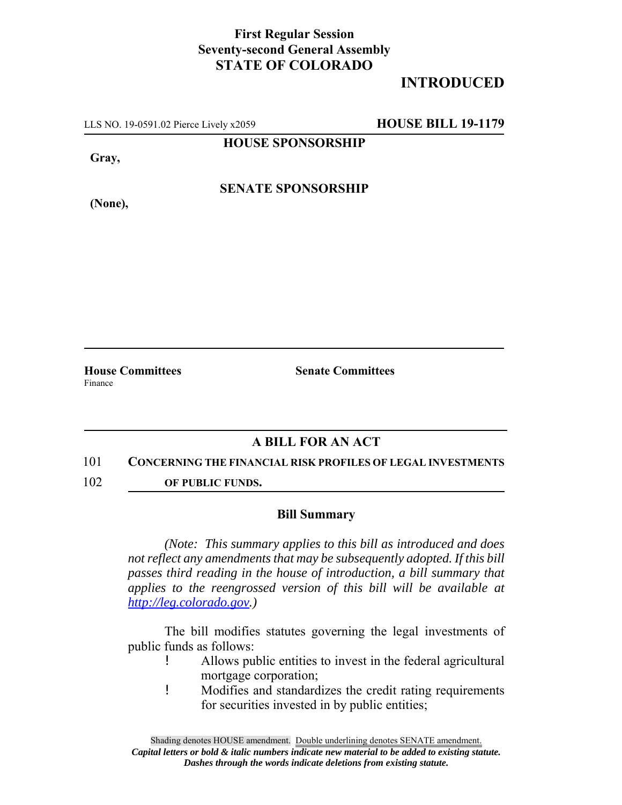## **First Regular Session Seventy-second General Assembly STATE OF COLORADO**

# **INTRODUCED**

LLS NO. 19-0591.02 Pierce Lively x2059 **HOUSE BILL 19-1179**

**HOUSE SPONSORSHIP**

**Gray,**

**(None),**

**SENATE SPONSORSHIP**

**House Committees Senate Committees** Finance

### **A BILL FOR AN ACT**

#### 101 **CONCERNING THE FINANCIAL RISK PROFILES OF LEGAL INVESTMENTS**

102 **OF PUBLIC FUNDS.**

#### **Bill Summary**

*(Note: This summary applies to this bill as introduced and does not reflect any amendments that may be subsequently adopted. If this bill passes third reading in the house of introduction, a bill summary that applies to the reengrossed version of this bill will be available at http://leg.colorado.gov.)*

The bill modifies statutes governing the legal investments of public funds as follows:

- ! Allows public entities to invest in the federal agricultural mortgage corporation;
- ! Modifies and standardizes the credit rating requirements for securities invested in by public entities;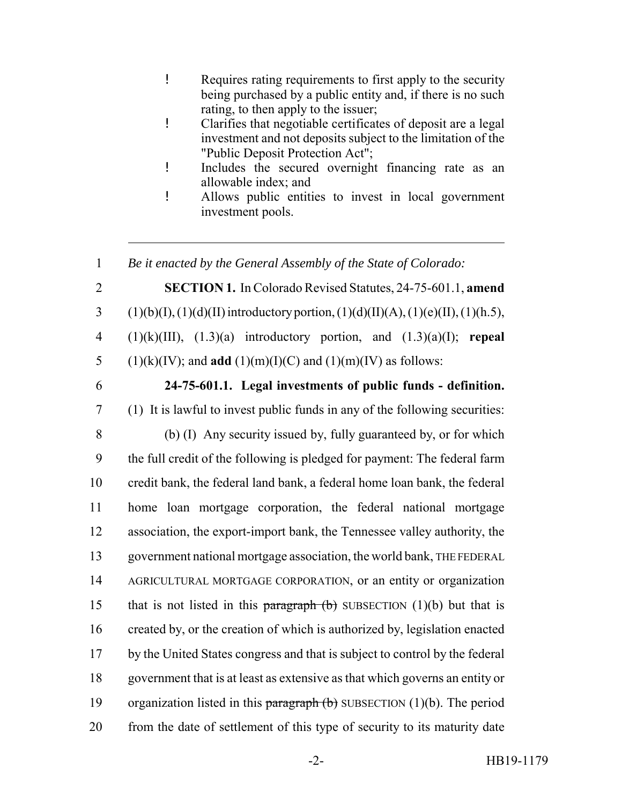- ! Requires rating requirements to first apply to the security being purchased by a public entity and, if there is no such rating, to then apply to the issuer;
- ! Clarifies that negotiable certificates of deposit are a legal investment and not deposits subject to the limitation of the "Public Deposit Protection Act";
- ! Includes the secured overnight financing rate as an allowable index; and
- ! Allows public entities to invest in local government investment pools.

1 *Be it enacted by the General Assembly of the State of Colorado:*

2 **SECTION 1.** In Colorado Revised Statutes, 24-75-601.1, **amend** 3 (1)(b)(I), (1)(d)(II) introductory portion, (1)(d)(II)(A), (1)(e)(II), (1)(h.5), 4 (1)(k)(III), (1.3)(a) introductory portion, and (1.3)(a)(I); **repeal** 5 (1)(k)(IV); and **add** (1)(m)(I)(C) and (1)(m)(IV) as follows:

6 **24-75-601.1. Legal investments of public funds - definition.**

7 (1) It is lawful to invest public funds in any of the following securities:

 (b) (I) Any security issued by, fully guaranteed by, or for which the full credit of the following is pledged for payment: The federal farm credit bank, the federal land bank, a federal home loan bank, the federal home loan mortgage corporation, the federal national mortgage association, the export-import bank, the Tennessee valley authority, the government national mortgage association, the world bank, THE FEDERAL AGRICULTURAL MORTGAGE CORPORATION, or an entity or organization 15 that is not listed in this paragraph  $(b)$  SUBSECTION (1)(b) but that is created by, or the creation of which is authorized by, legislation enacted by the United States congress and that is subject to control by the federal government that is at least as extensive as that which governs an entity or 19 organization listed in this paragraph  $(b)$  SUBSECTION (1)(b). The period from the date of settlement of this type of security to its maturity date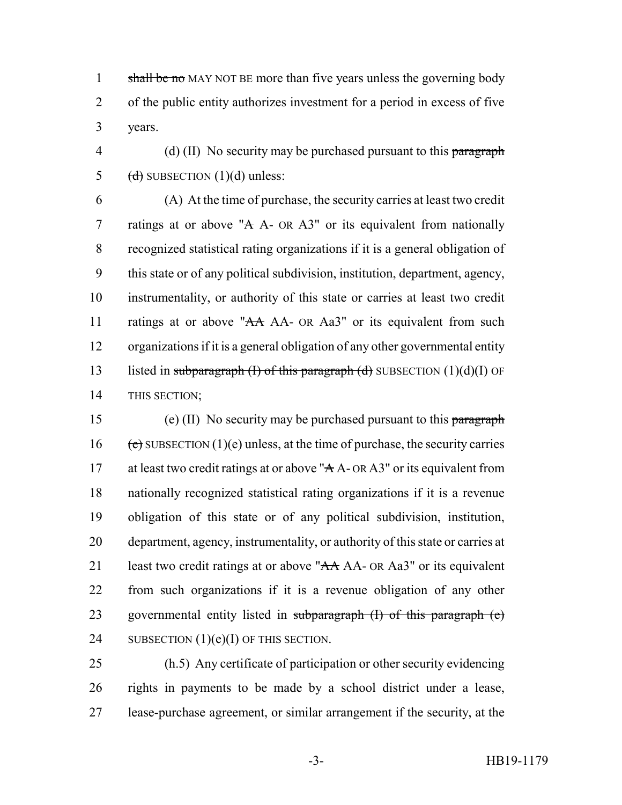1 shall be no MAY NOT BE more than five years unless the governing body 2 of the public entity authorizes investment for a period in excess of five 3 years.

4 (d) (II) No security may be purchased pursuant to this paragraph 5 (d) SUBSECTION  $(1)(d)$  unless:

 (A) At the time of purchase, the security carries at least two credit 7 ratings at or above "A A- OR A3" or its equivalent from nationally recognized statistical rating organizations if it is a general obligation of this state or of any political subdivision, institution, department, agency, instrumentality, or authority of this state or carries at least two credit 11 ratings at or above "AA AA- OR Aa3" or its equivalent from such organizations if it is a general obligation of any other governmental entity 13 listed in subparagraph (I) of this paragraph (d) SUBSECTION  $(1)(d)(I)$  OF THIS SECTION;

15 (e) (II) No security may be purchased pursuant to this paragraph 16 (e) SUBSECTION (1)(e) unless, at the time of purchase, the security carries 17 at least two credit ratings at or above "A A- OR A3" or its equivalent from 18 nationally recognized statistical rating organizations if it is a revenue 19 obligation of this state or of any political subdivision, institution, 20 department, agency, instrumentality, or authority of this state or carries at 21 least two credit ratings at or above " $AA$  AA- OR Aa3" or its equivalent 22 from such organizations if it is a revenue obligation of any other 23 governmental entity listed in subparagraph (I) of this paragraph (e) 24 SUBSECTION  $(1)(e)(I)$  OF THIS SECTION.

25 (h.5) Any certificate of participation or other security evidencing 26 rights in payments to be made by a school district under a lease, 27 lease-purchase agreement, or similar arrangement if the security, at the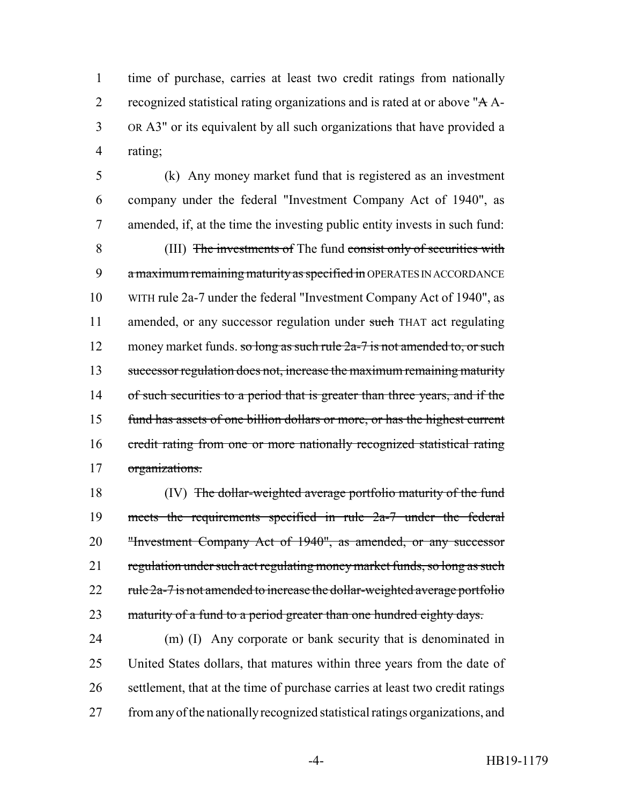time of purchase, carries at least two credit ratings from nationally 2 recognized statistical rating organizations and is rated at or above "A A- OR A3" or its equivalent by all such organizations that have provided a rating;

 (k) Any money market fund that is registered as an investment company under the federal "Investment Company Act of 1940", as amended, if, at the time the investing public entity invests in such fund: (III) The investments of The fund consist only of securities with 9 a maximum remaining maturity as specified in OPERATES IN ACCORDANCE WITH rule 2a-7 under the federal "Investment Company Act of 1940", as 11 amended, or any successor regulation under such THAT act regulating 12 money market funds. so long as such rule 2a-7 is not amended to, or such successor regulation does not, increase the maximum remaining maturity 14 of such securities to a period that is greater than three years, and if the fund has assets of one billion dollars or more, or has the highest current credit rating from one or more nationally recognized statistical rating organizations.

18 (IV) The dollar-weighted average portfolio maturity of the fund meets the requirements specified in rule 2a-7 under the federal "Investment Company Act of 1940", as amended, or any successor 21 regulation under such act regulating money market funds, so long as such 22  $rule\ 2a-7$  is not amended to increase the dollar-weighted average portfolio 23 maturity of a fund to a period greater than one hundred eighty days.

 (m) (I) Any corporate or bank security that is denominated in United States dollars, that matures within three years from the date of settlement, that at the time of purchase carries at least two credit ratings from any of the nationally recognized statistical ratings organizations, and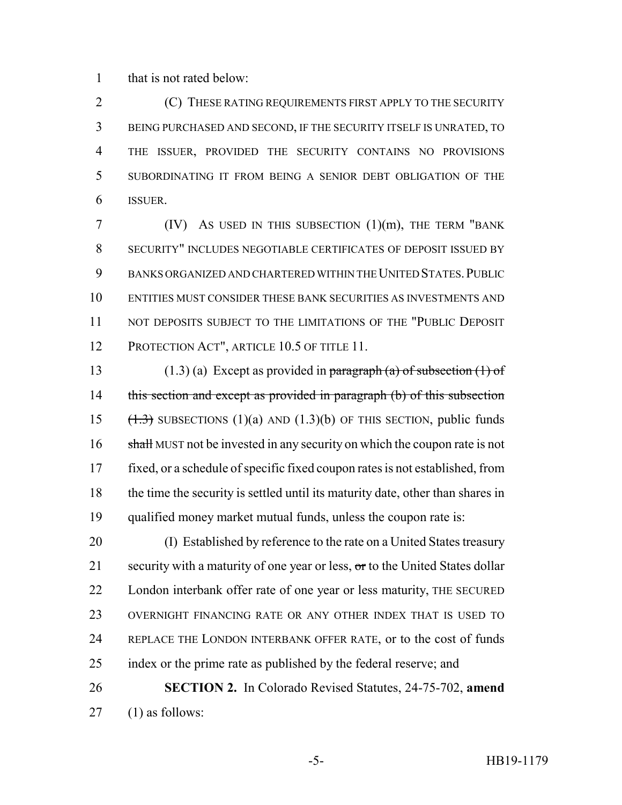that is not rated below:

 (C) THESE RATING REQUIREMENTS FIRST APPLY TO THE SECURITY BEING PURCHASED AND SECOND, IF THE SECURITY ITSELF IS UNRATED, TO THE ISSUER, PROVIDED THE SECURITY CONTAINS NO PROVISIONS SUBORDINATING IT FROM BEING A SENIOR DEBT OBLIGATION OF THE ISSUER.

 (IV) As used in this subsection  $(1)(m)$ , the term "bank" SECURITY" INCLUDES NEGOTIABLE CERTIFICATES OF DEPOSIT ISSUED BY BANKS ORGANIZED AND CHARTERED WITHIN THE UNITED STATES.PUBLIC ENTITIES MUST CONSIDER THESE BANK SECURITIES AS INVESTMENTS AND 11 NOT DEPOSITS SUBJECT TO THE LIMITATIONS OF THE "PUBLIC DEPOSIT 12 PROTECTION ACT", ARTICLE 10.5 OF TITLE 11.

13 (1.3) (a) Except as provided in paragraph (a) of subsection  $(1)$  of 14 this section and except as provided in paragraph (b) of this subsection 15  $(1.3)$  SUBSECTIONS  $(1)(a)$  AND  $(1.3)(b)$  OF THIS SECTION, public funds 16 shall MUST not be invested in any security on which the coupon rate is not fixed, or a schedule of specific fixed coupon rates is not established, from the time the security is settled until its maturity date, other than shares in qualified money market mutual funds, unless the coupon rate is:

 (I) Established by reference to the rate on a United States treasury 21 security with a maturity of one year or less, or to the United States dollar London interbank offer rate of one year or less maturity, THE SECURED OVERNIGHT FINANCING RATE OR ANY OTHER INDEX THAT IS USED TO REPLACE THE LONDON INTERBANK OFFER RATE, or to the cost of funds index or the prime rate as published by the federal reserve; and

 **SECTION 2.** In Colorado Revised Statutes, 24-75-702, **amend** (1) as follows: